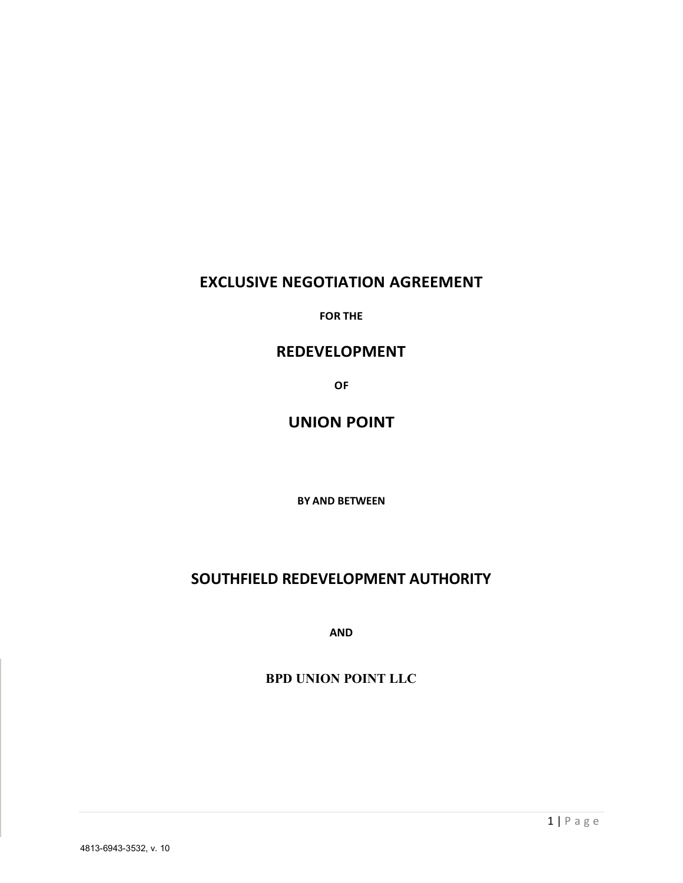# **EXCLUSIVE NEGOTIATION AGREEMENT**

**FOR THE**

# **REDEVELOPMENT**

**OF**

# **UNION POINT**

**BY AND BETWEEN**

# **SOUTHFIELD REDEVELOPMENT AUTHORITY**

**AND**

#### **BPD UNION POINT LLC**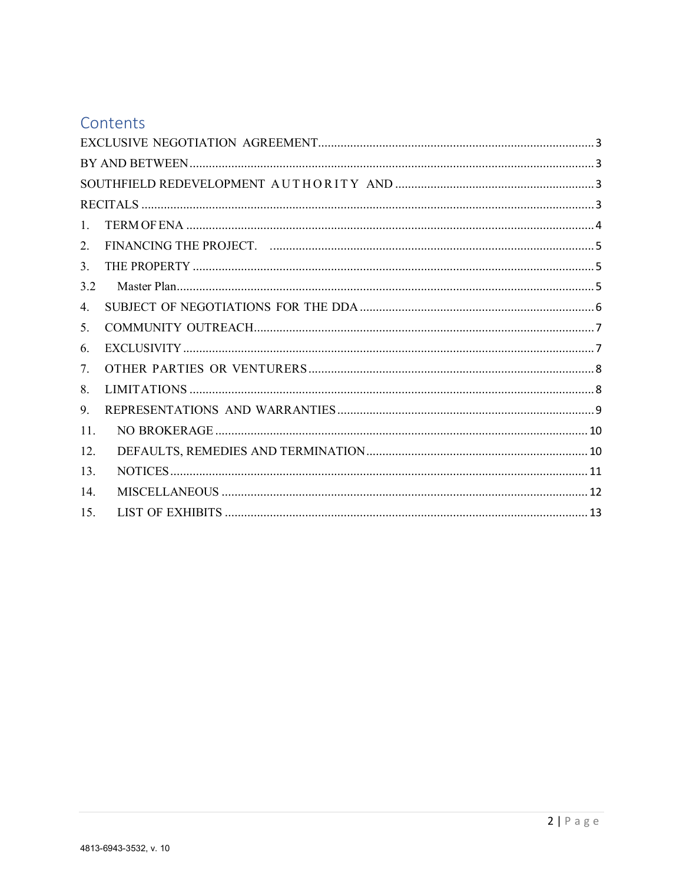# Contents

| $\mathbf{1}$  |  |  |  |
|---------------|--|--|--|
| 2.            |  |  |  |
| $\mathcal{E}$ |  |  |  |
| 32            |  |  |  |
| 4.            |  |  |  |
| 5.            |  |  |  |
| 6.            |  |  |  |
| $\tau$        |  |  |  |
| 8.            |  |  |  |
| 9.            |  |  |  |
| 11.           |  |  |  |
| 12            |  |  |  |
| 13.           |  |  |  |
| 14            |  |  |  |
| 15            |  |  |  |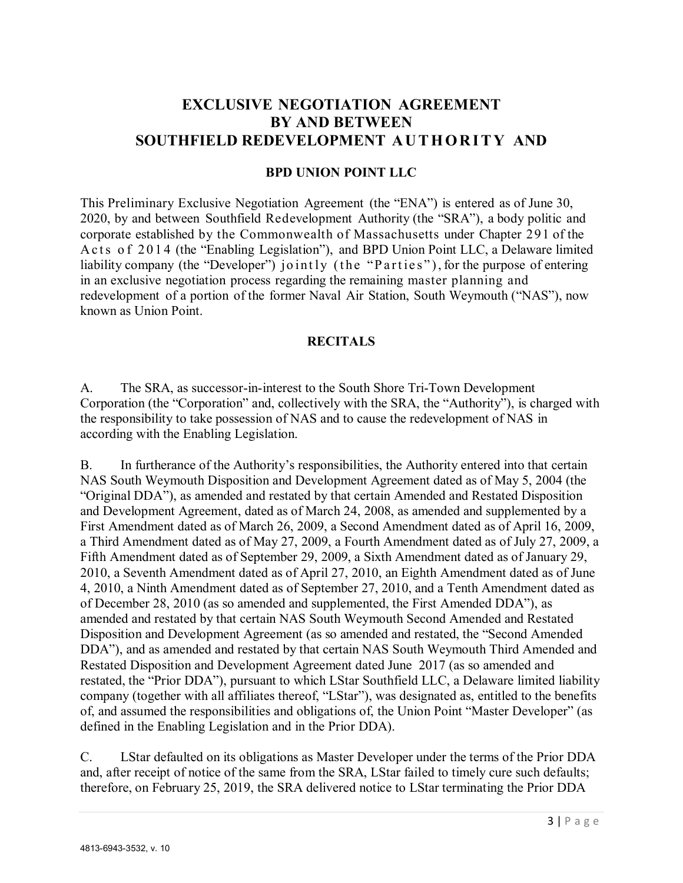# <span id="page-2-1"></span><span id="page-2-0"></span>**EXCLUSIVE NEGOTIATION AGREEMENT BY AND BETWEEN SOUTHFIELD REDEVELOPMENT AUTHORITY AND**

#### **BPD UNION POINT LLC**

<span id="page-2-2"></span>This Preliminary Exclusive Negotiation Agreement (the "ENA") is entered as of June 30, 2020, by and between Southfield Redevelopment Authority (the "SRA"), a body politic and corporate established by the Commonwealth of Massachusetts under Chapter 291 of the Acts of 2014 (the "Enabling Legislation"), and BPD Union Point LLC, a Delaware limited liability company (the "Developer") jointly (the "Parties"), for the purpose of entering in an exclusive negotiation process regarding the remaining master planning and redevelopment of a portion of the former Naval Air Station, South Weymouth ("NAS"), now known as Union Point.

#### **RECITALS**

<span id="page-2-3"></span>A. The SRA, as successor-in-interest to the South Shore Tri-Town Development Corporation (the "Corporation" and, collectively with the SRA, the "Authority"), is charged with the responsibility to take possession of NAS and to cause the redevelopment of NAS in according with the Enabling Legislation.

B. In furtherance of the Authority's responsibilities, the Authority entered into that certain NAS South Weymouth Disposition and Development Agreement dated as of May 5, 2004 (the "Original DDA"), as amended and restated by that certain Amended and Restated Disposition and Development Agreement, dated as of March 24, 2008, as amended and supplemented by a First Amendment dated as of March 26, 2009, a Second Amendment dated as of April 16, 2009, a Third Amendment dated as of May 27, 2009, a Fourth Amendment dated as of July 27, 2009, a Fifth Amendment dated as of September 29, 2009, a Sixth Amendment dated as of January 29, 2010, a Seventh Amendment dated as of April 27, 2010, an Eighth Amendment dated as of June 4, 2010, a Ninth Amendment dated as of September 27, 2010, and a Tenth Amendment dated as of December 28, 2010 (as so amended and supplemented, the First Amended DDA"), as amended and restated by that certain NAS South Weymouth Second Amended and Restated Disposition and Development Agreement (as so amended and restated, the "Second Amended DDA"), and as amended and restated by that certain NAS South Weymouth Third Amended and Restated Disposition and Development Agreement dated June 2017 (as so amended and restated, the "Prior DDA"), pursuant to which LStar Southfield LLC, a Delaware limited liability company (together with all affiliates thereof, "LStar"), was designated as, entitled to the benefits of, and assumed the responsibilities and obligations of, the Union Point "Master Developer" (as defined in the Enabling Legislation and in the Prior DDA).

C. LStar defaulted on its obligations as Master Developer under the terms of the Prior DDA and, after receipt of notice of the same from the SRA, LStar failed to timely cure such defaults; therefore, on February 25, 2019, the SRA delivered notice to LStar terminating the Prior DDA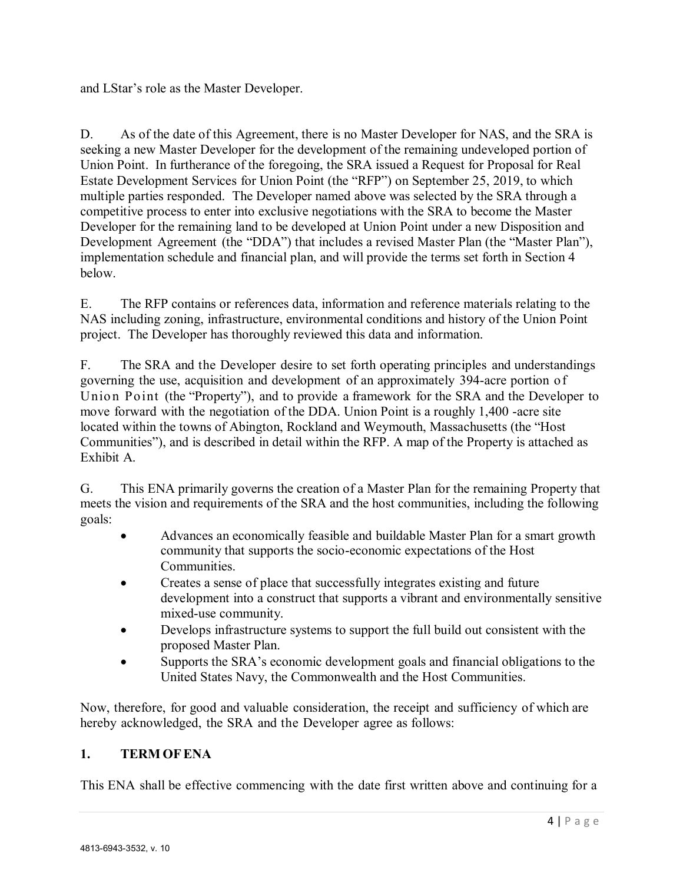and LStar's role as the Master Developer.

D. As of the date of this Agreement, there is no Master Developer for NAS, and the SRA is seeking a new Master Developer for the development of the remaining undeveloped portion of Union Point. In furtherance of the foregoing, the SRA issued a Request for Proposal for Real Estate Development Services for Union Point (the "RFP") on September 25, 2019, to which multiple parties responded. The Developer named above was selected by the SRA through a competitive process to enter into exclusive negotiations with the SRA to become the Master Developer for the remaining land to be developed at Union Point under a new Disposition and Development Agreement (the "DDA") that includes a revised Master Plan (the "Master Plan"), implementation schedule and financial plan, and will provide the terms set forth in Section 4 below.

E. The RFP contains or references data, information and reference materials relating to the NAS including zoning, infrastructure, environmental conditions and history of the Union Point project. The Developer has thoroughly reviewed this data and information.

F. The SRA and the Developer desire to set forth operating principles and understandings governing the use, acquisition and development of an approximately 394-acre portion of Union Point (the "Property"), and to provide a framework for the SRA and the Developer to move forward with the negotiation of the DDA. Union Point is a roughly 1,400 -acre site located within the towns of Abington, Rockland and Weymouth, Massachusetts (the "Host Communities"), and is described in detail within the RFP. A map of the Property is attached as Exhibit A.

G. This ENA primarily governs the creation of a Master Plan for the remaining Property that meets the vision and requirements of the SRA and the host communities, including the following goals:

- Advances an economically feasible and buildable Master Plan for a smart growth community that supports the socio-economic expectations of the Host Communities.
- Creates a sense of place that successfully integrates existing and future development into a construct that supports a vibrant and environmentally sensitive mixed-use community.
- Develops infrastructure systems to support the full build out consistent with the proposed Master Plan.
- Supports the SRA's economic development goals and financial obligations to the United States Navy, the Commonwealth and the Host Communities.

Now, therefore, for good and valuable consideration, the receipt and sufficiency of which are hereby acknowledged, the SRA and the Developer agree as follows:

#### <span id="page-3-0"></span>**1. TERM OFENA**

This ENA shall be effective commencing with the date first written above and continuing for a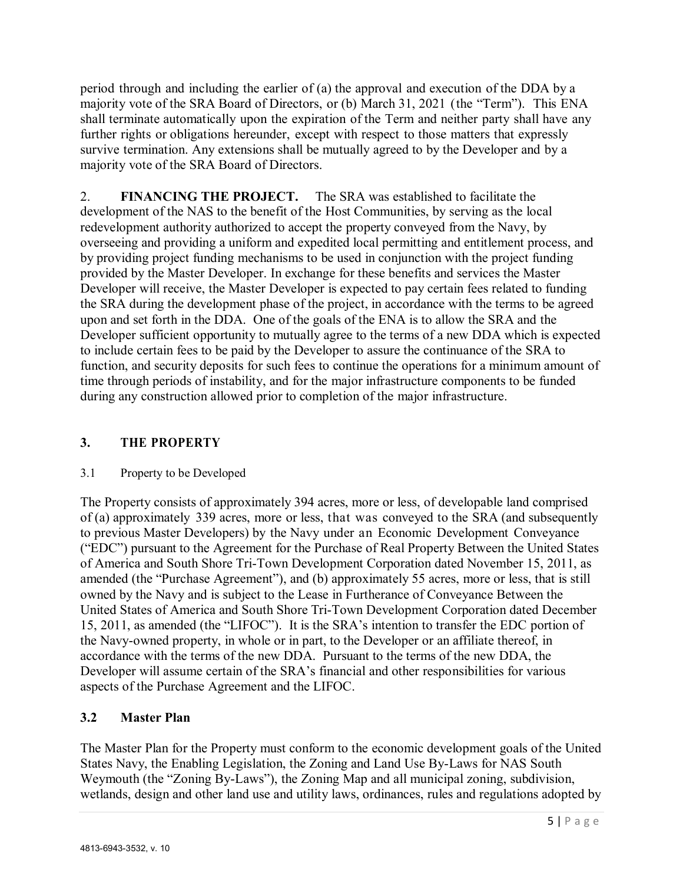period through and including the earlier of (a) the approval and execution of the DDA by a majority vote of the SRA Board of Directors, or (b) March 31, 2021 (the "Term"). This ENA shall terminate automatically upon the expiration of the Term and neither party shall have any further rights or obligations hereunder, except with respect to those matters that expressly survive termination. Any extensions shall be mutually agreed to by the Developer and by a majority vote of the SRA Board of Directors.

<span id="page-4-0"></span>2. **FINANCING THE PROJECT.** The SRA was established to facilitate the development of the NAS to the benefit of the Host Communities, by serving as the local redevelopment authority authorized to accept the property conveyed from the Navy, by overseeing and providing a uniform and expedited local permitting and entitlement process, and by providing project funding mechanisms to be used in conjunction with the project funding provided by the Master Developer. In exchange for these benefits and services the Master Developer will receive, the Master Developer is expected to pay certain fees related to funding the SRA during the development phase of the project, in accordance with the terms to be agreed upon and set forth in the DDA. One of the goals of the ENA is to allow the SRA and the Developer sufficient opportunity to mutually agree to the terms of a new DDA which is expected to include certain fees to be paid by the Developer to assure the continuance of the SRA to function, and security deposits for such fees to continue the operations for a minimum amount of time through periods of instability, and for the major infrastructure components to be funded during any construction allowed prior to completion of the major infrastructure.

#### <span id="page-4-1"></span>**3. THE PROPERTY**

#### 3.1 Property to be Developed

The Property consists of approximately 394 acres, more or less, of developable land comprised of (a) approximately 339 acres, more or less, that was conveyed to the SRA (and subsequently to previous Master Developers) by the Navy under an Economic Development Conveyance ("EDC") pursuant to the Agreement for the Purchase of Real Property Between the United States of America and South Shore Tri-Town Development Corporation dated November 15, 2011, as amended (the "Purchase Agreement"), and (b) approximately 55 acres, more or less, that is still owned by the Navy and is subject to the Lease in Furtherance of Conveyance Between the United States of America and South Shore Tri-Town Development Corporation dated December 15, 2011, as amended (the "LIFOC"). It is the SRA's intention to transfer the EDC portion of the Navy-owned property, in whole or in part, to the Developer or an affiliate thereof, in accordance with the terms of the new DDA. Pursuant to the terms of the new DDA, the Developer will assume certain of the SRA's financial and other responsibilities for various aspects of the Purchase Agreement and the LIFOC.

#### <span id="page-4-2"></span>**3.2 Master Plan**

The Master Plan for the Property must conform to the economic development goals of the United States Navy, the Enabling Legislation, the Zoning and Land Use By-Laws for NAS South Weymouth (the "Zoning By-Laws"), the Zoning Map and all municipal zoning, subdivision, wetlands, design and other land use and utility laws, ordinances, rules and regulations adopted by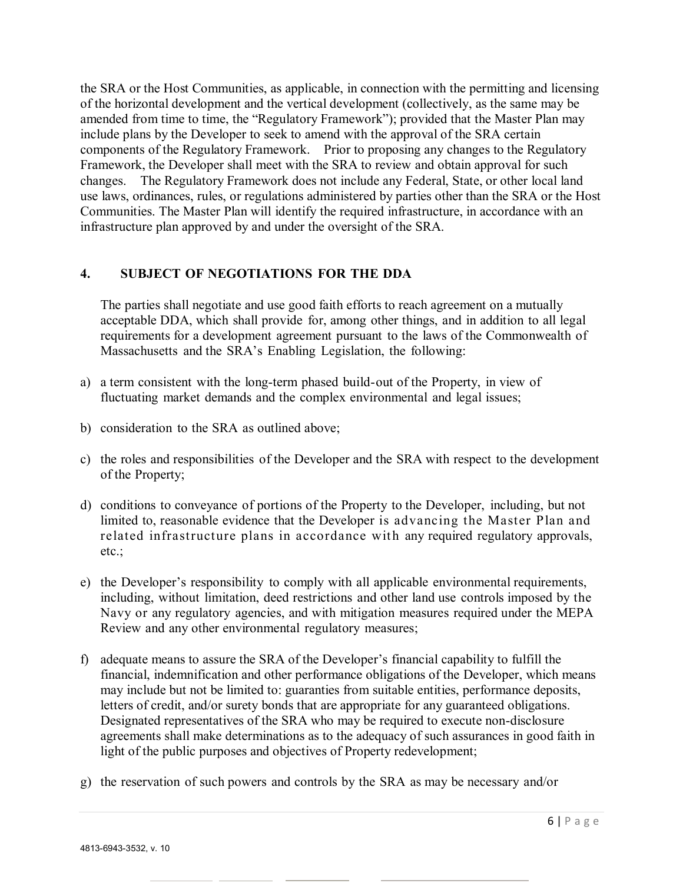the SRA or the Host Communities, as applicable, in connection with the permitting and licensing of the horizontal development and the vertical development (collectively, as the same may be amended from time to time, the "Regulatory Framework"); provided that the Master Plan may include plans by the Developer to seek to amend with the approval of the SRA certain components of the Regulatory Framework. Prior to proposing any changes to the Regulatory Framework, the Developer shall meet with the SRA to review and obtain approval for such changes. The Regulatory Framework does not include any Federal, State, or other local land use laws, ordinances, rules, or regulations administered by parties other than the SRA or the Host Communities. The Master Plan will identify the required infrastructure, in accordance with an infrastructure plan approved by and under the oversight of the SRA.

#### <span id="page-5-0"></span>**4. SUBJECT OF NEGOTIATIONS FOR THE DDA**

The parties shall negotiate and use good faith efforts to reach agreement on a mutually acceptable DDA, which shall provide for, among other things, and in addition to all legal requirements for a development agreement pursuant to the laws of the Commonwealth of Massachusetts and the SRA's Enabling Legislation, the following:

- a) a term consistent with the long-term phased build-out of the Property, in view of fluctuating market demands and the complex environmental and legal issues;
- b) consideration to the SRA as outlined above;
- c) the roles and responsibilities of the Developer and the SRA with respect to the development of the Property;
- d) conditions to conveyance of portions of the Property to the Developer, including, but not limited to, reasonable evidence that the Developer is advancing the Master Plan and related infrastructure plans in accordance with any required regulatory approvals, etc.;
- e) the Developer's responsibility to comply with all applicable environmental requirements, including, without limitation, deed restrictions and other land use controls imposed by the Navy or any regulatory agencies, and with mitigation measures required under the MEPA Review and any other environmental regulatory measures;
- f) adequate means to assure the SRA of the Developer's financial capability to fulfill the financial, indemnification and other performance obligations of the Developer, which means may include but not be limited to: guaranties from suitable entities, performance deposits, letters of credit, and/or surety bonds that are appropriate for any guaranteed obligations. Designated representatives of the SRA who may be required to execute non-disclosure agreements shall make determinations as to the adequacy of such assurances in good faith in light of the public purposes and objectives of Property redevelopment;
- g) the reservation of such powers and controls by the SRA as may be necessary and/or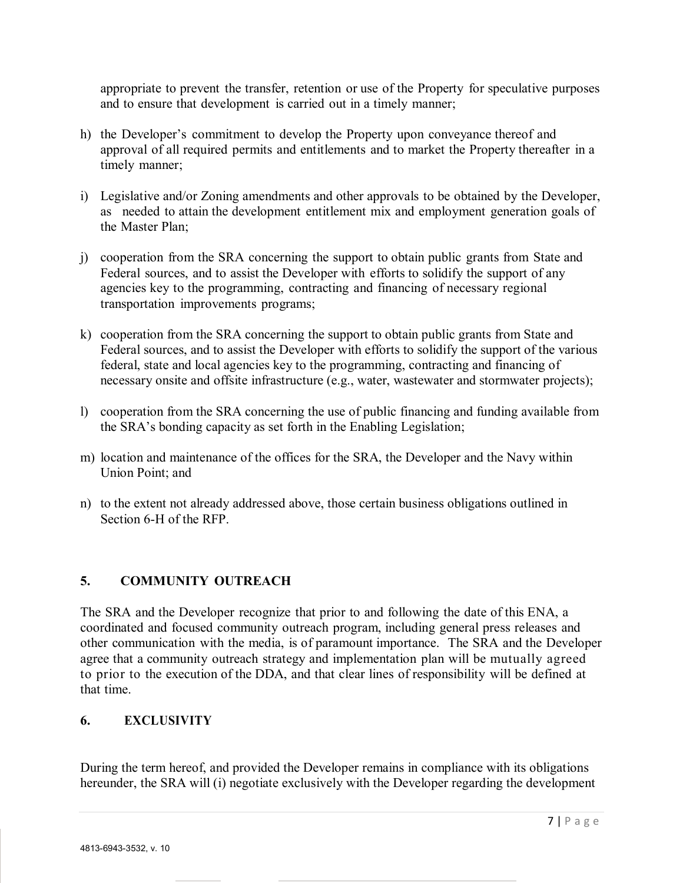appropriate to prevent the transfer, retention or use of the Property for speculative purposes and to ensure that development is carried out in a timely manner;

- h) the Developer's commitment to develop the Property upon conveyance thereof and approval of all required permits and entitlements and to market the Property thereafter in a timely manner;
- i) Legislative and/or Zoning amendments and other approvals to be obtained by the Developer, as needed to attain the development entitlement mix and employment generation goals of the Master Plan;
- j) cooperation from the SRA concerning the support to obtain public grants from State and Federal sources, and to assist the Developer with efforts to solidify the support of any agencies key to the programming, contracting and financing of necessary regional transportation improvements programs;
- k) cooperation from the SRA concerning the support to obtain public grants from State and Federal sources, and to assist the Developer with efforts to solidify the support of the various federal, state and local agencies key to the programming, contracting and financing of necessary onsite and offsite infrastructure (e.g., water, wastewater and stormwater projects);
- l) cooperation from the SRA concerning the use of public financing and funding available from the SRA's bonding capacity as set forth in the Enabling Legislation;
- m) location and maintenance of the offices for the SRA, the Developer and the Navy within Union Point; and
- n) to the extent not already addressed above, those certain business obligations outlined in Section 6-H of the RFP.

#### <span id="page-6-0"></span>**5. COMMUNITY OUTREACH**

The SRA and the Developer recognize that prior to and following the date of this ENA, a coordinated and focused community outreach program, including general press releases and other communication with the media, is of paramount importance. The SRA and the Developer agree that a community outreach strategy and implementation plan will be mutually agreed to prior to the execution of the DDA, and that clear lines of responsibility will be defined at that time.

#### <span id="page-6-1"></span>**6. EXCLUSIVITY**

During the term hereof, and provided the Developer remains in compliance with its obligations hereunder, the SRA will (i) negotiate exclusively with the Developer regarding the development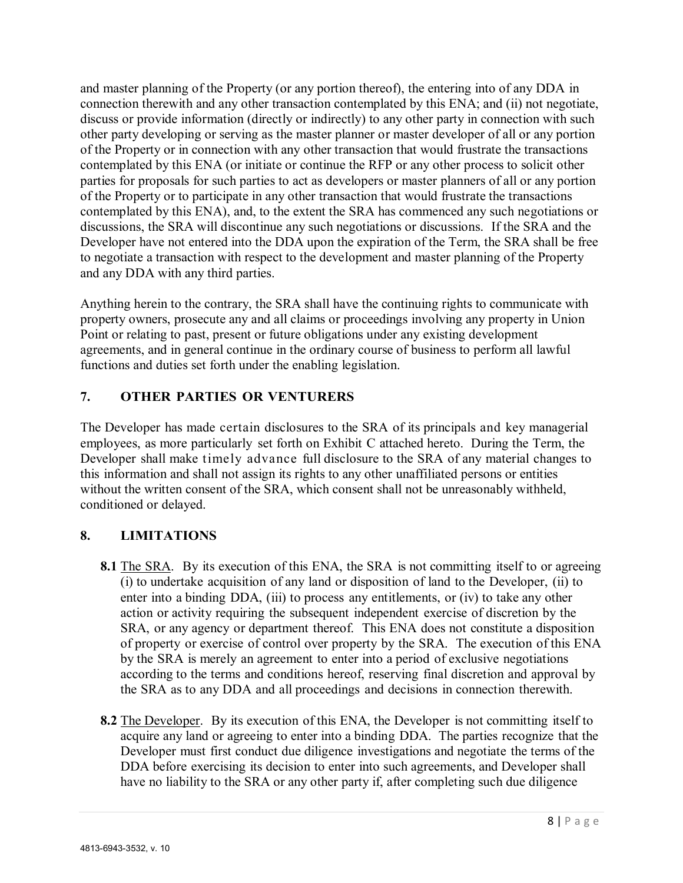and master planning of the Property (or any portion thereof), the entering into of any DDA in connection therewith and any other transaction contemplated by this ENA; and (ii) not negotiate, discuss or provide information (directly or indirectly) to any other party in connection with such other party developing or serving as the master planner or master developer of all or any portion of the Property or in connection with any other transaction that would frustrate the transactions contemplated by this ENA (or initiate or continue the RFP or any other process to solicit other parties for proposals for such parties to act as developers or master planners of all or any portion of the Property or to participate in any other transaction that would frustrate the transactions contemplated by this ENA), and, to the extent the SRA has commenced any such negotiations or discussions, the SRA will discontinue any such negotiations or discussions. If the SRA and the Developer have not entered into the DDA upon the expiration of the Term, the SRA shall be free to negotiate a transaction with respect to the development and master planning of the Property and any DDA with any third parties.

Anything herein to the contrary, the SRA shall have the continuing rights to communicate with property owners, prosecute any and all claims or proceedings involving any property in Union Point or relating to past, present or future obligations under any existing development agreements, and in general continue in the ordinary course of business to perform all lawful functions and duties set forth under the enabling legislation.

## <span id="page-7-0"></span>**7. OTHER PARTIES OR VENTURERS**

The Developer has made certain disclosures to the SRA of its principals and key managerial employees, as more particularly set forth on Exhibit C attached hereto. During the Term, the Developer shall make timely advance full disclosure to the SRA of any material changes to this information and shall not assign its rights to any other unaffiliated persons or entities without the written consent of the SRA, which consent shall not be unreasonably withheld, conditioned or delayed.

## <span id="page-7-1"></span>**8. LIMITATIONS**

- **8.1** The SRA. By its execution of this ENA, the SRA is not committing itself to or agreeing (i) to undertake acquisition of any land or disposition of land to the Developer, (ii) to enter into a binding DDA, (iii) to process any entitlements, or (iv) to take any other action or activity requiring the subsequent independent exercise of discretion by the SRA, or any agency or department thereof. This ENA does not constitute a disposition of property or exercise of control over property by the SRA. The execution of this ENA by the SRA is merely an agreement to enter into a period of exclusive negotiations according to the terms and conditions hereof, reserving final discretion and approval by the SRA as to any DDA and all proceedings and decisions in connection therewith.
- **8.2** The Developer. By its execution of this ENA, the Developer is not committing itself to acquire any land or agreeing to enter into a binding DDA. The parties recognize that the Developer must first conduct due diligence investigations and negotiate the terms of the DDA before exercising its decision to enter into such agreements, and Developer shall have no liability to the SRA or any other party if, after completing such due diligence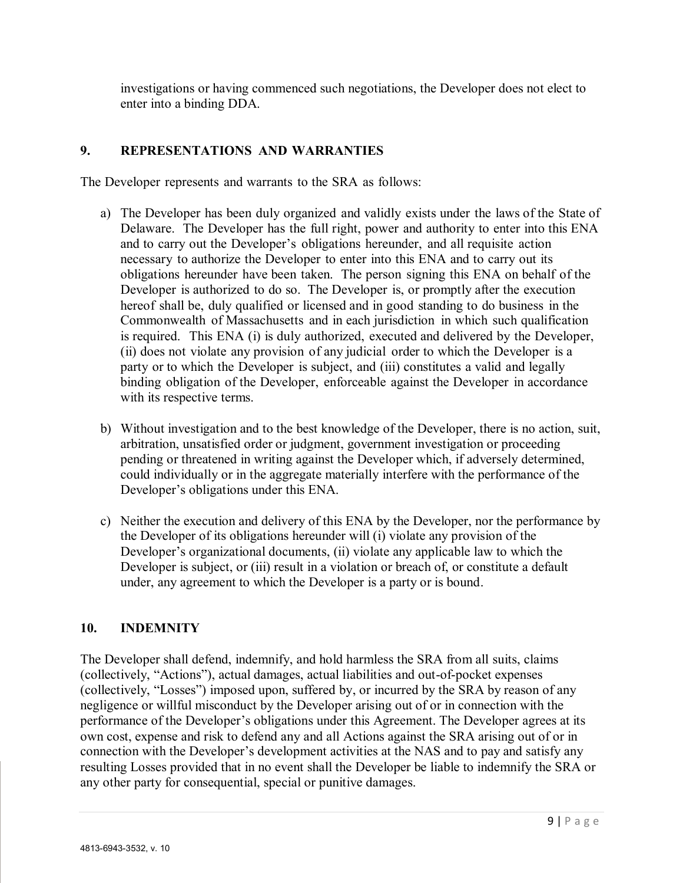investigations or having commenced such negotiations, the Developer does not elect to enter into a binding DDA.

#### <span id="page-8-0"></span>**9. REPRESENTATIONS AND WARRANTIES**

The Developer represents and warrants to the SRA as follows:

- a) The Developer has been duly organized and validly exists under the laws of the State of Delaware. The Developer has the full right, power and authority to enter into this ENA and to carry out the Developer's obligations hereunder, and all requisite action necessary to authorize the Developer to enter into this ENA and to carry out its obligations hereunder have been taken. The person signing this ENA on behalf of the Developer is authorized to do so. The Developer is, or promptly after the execution hereof shall be, duly qualified or licensed and in good standing to do business in the Commonwealth of Massachusetts and in each jurisdiction in which such qualification is required. This ENA (i) is duly authorized, executed and delivered by the Developer, (ii) does not violate any provision of any judicial order to which the Developer is a party or to which the Developer is subject, and (iii) constitutes a valid and legally binding obligation of the Developer, enforceable against the Developer in accordance with its respective terms.
- b) Without investigation and to the best knowledge of the Developer, there is no action, suit, arbitration, unsatisfied order or judgment, government investigation or proceeding pending or threatened in writing against the Developer which, if adversely determined, could individually or in the aggregate materially interfere with the performance of the Developer's obligations under this ENA.
- c) Neither the execution and delivery of this ENA by the Developer, nor the performance by the Developer of its obligations hereunder will (i) violate any provision of the Developer's organizational documents, (ii) violate any applicable law to which the Developer is subject, or (iii) result in a violation or breach of, or constitute a default under, any agreement to which the Developer is a party or is bound.

## **10. INDEMNITY**

The Developer shall defend, indemnify, and hold harmless the SRA from all suits, claims (collectively, "Actions"), actual damages, actual liabilities and out-of-pocket expenses (collectively, "Losses") imposed upon, suffered by, or incurred by the SRA by reason of any negligence or willful misconduct by the Developer arising out of or in connection with the performance of the Developer's obligations under this Agreement. The Developer agrees at its own cost, expense and risk to defend any and all Actions against the SRA arising out of or in connection with the Developer's development activities at the NAS and to pay and satisfy any resulting Losses provided that in no event shall the Developer be liable to indemnify the SRA or any other party for consequential, special or punitive damages.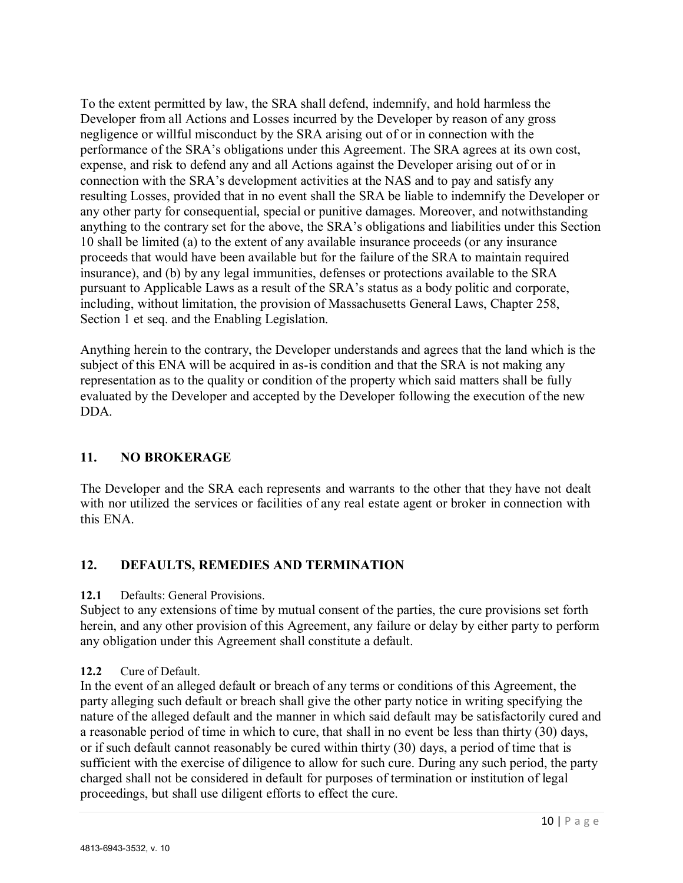To the extent permitted by law, the SRA shall defend, indemnify, and hold harmless the Developer from all Actions and Losses incurred by the Developer by reason of any gross negligence or willful misconduct by the SRA arising out of or in connection with the performance of the SRA's obligations under this Agreement. The SRA agrees at its own cost, expense, and risk to defend any and all Actions against the Developer arising out of or in connection with the SRA's development activities at the NAS and to pay and satisfy any resulting Losses, provided that in no event shall the SRA be liable to indemnify the Developer or any other party for consequential, special or punitive damages. Moreover, and notwithstanding anything to the contrary set for the above, the SRA's obligations and liabilities under this Section 10 shall be limited (a) to the extent of any available insurance proceeds (or any insurance proceeds that would have been available but for the failure of the SRA to maintain required insurance), and (b) by any legal immunities, defenses or protections available to the SRA pursuant to Applicable Laws as a result of the SRA's status as a body politic and corporate, including, without limitation, the provision of Massachusetts General Laws, Chapter 258, Section 1 et seq. and the Enabling Legislation.

Anything herein to the contrary, the Developer understands and agrees that the land which is the subject of this ENA will be acquired in as-is condition and that the SRA is not making any representation as to the quality or condition of the property which said matters shall be fully evaluated by the Developer and accepted by the Developer following the execution of the new DDA.

#### <span id="page-9-0"></span>**11. NO BROKERAGE**

The Developer and the SRA each represents and warrants to the other that they have not dealt with nor utilized the services or facilities of any real estate agent or broker in connection with this ENA.

## <span id="page-9-1"></span>**12. DEFAULTS, REMEDIES AND TERMINATION**

#### **12.1** Defaults: General Provisions.

Subject to any extensions of time by mutual consent of the parties, the cure provisions set forth herein, and any other provision of this Agreement, any failure or delay by either party to perform any obligation under this Agreement shall constitute a default.

#### **12.2** Cure of Default.

In the event of an alleged default or breach of any terms or conditions of this Agreement, the party alleging such default or breach shall give the other party notice in writing specifying the nature of the alleged default and the manner in which said default may be satisfactorily cured and a reasonable period of time in which to cure, that shall in no event be less than thirty (30) days, or if such default cannot reasonably be cured within thirty (30) days, a period of time that is sufficient with the exercise of diligence to allow for such cure. During any such period, the party charged shall not be considered in default for purposes of termination or institution of legal proceedings, but shall use diligent efforts to effect the cure.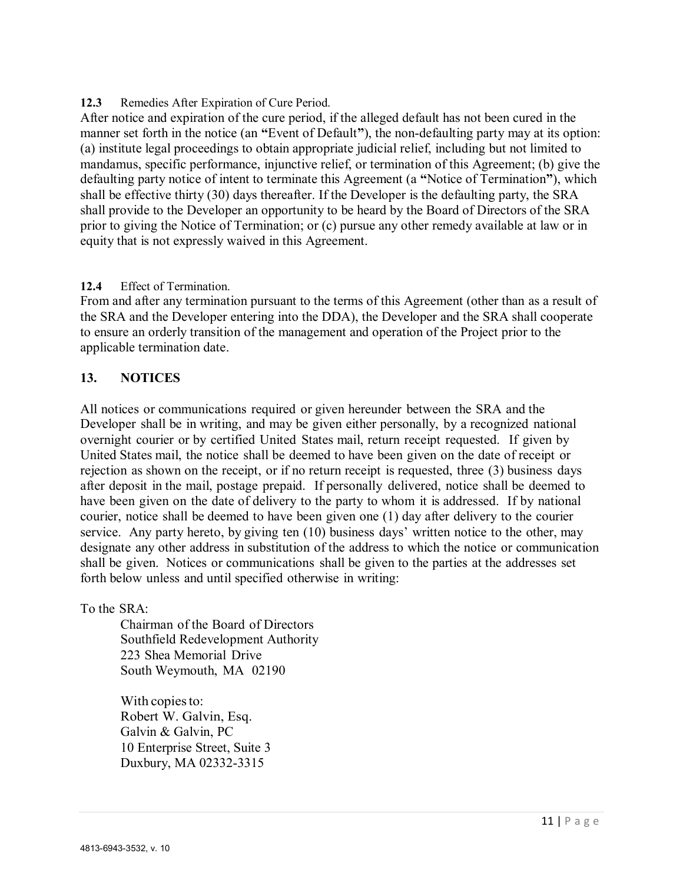**12.3** Remedies After Expiration of Cure Period.

After notice and expiration of the cure period, if the alleged default has not been cured in the manner set forth in the notice (an **"**Event of Default**"**), the non-defaulting party may at its option: (a) institute legal proceedings to obtain appropriate judicial relief, including but not limited to mandamus, specific performance, injunctive relief, or termination of this Agreement; (b) give the defaulting party notice of intent to terminate this Agreement (a **"**Notice of Termination**"**), which shall be effective thirty (30) days thereafter. If the Developer is the defaulting party, the SRA shall provide to the Developer an opportunity to be heard by the Board of Directors of the SRA prior to giving the Notice of Termination; or (c) pursue any other remedy available at law or in equity that is not expressly waived in this Agreement.

#### **12.4** Effect of Termination.

From and after any termination pursuant to the terms of this Agreement (other than as a result of the SRA and the Developer entering into the DDA), the Developer and the SRA shall cooperate to ensure an orderly transition of the management and operation of the Project prior to the applicable termination date.

#### <span id="page-10-0"></span>**13. NOTICES**

All notices or communications required or given hereunder between the SRA and the Developer shall be in writing, and may be given either personally, by a recognized national overnight courier or by certified United States mail, return receipt requested. If given by United States mail, the notice shall be deemed to have been given on the date of receipt or rejection as shown on the receipt, or if no return receipt is requested, three (3) business days after deposit in the mail, postage prepaid. If personally delivered, notice shall be deemed to have been given on the date of delivery to the party to whom it is addressed. If by national courier, notice shall be deemed to have been given one (1) day after delivery to the courier service. Any party hereto, by giving ten  $(10)$  business days' written notice to the other, may designate any other address in substitution of the address to which the notice or communication shall be given. Notices or communications shall be given to the parties at the addresses set forth below unless and until specified otherwise in writing:

To the SRA:

Chairman of the Board of Directors Southfield Redevelopment Authority 223 Shea Memorial Drive South Weymouth, MA 02190

With copies to: Robert W. Galvin, Esq. Galvin & Galvin, PC 10 Enterprise Street, Suite 3 Duxbury, MA 02332-3315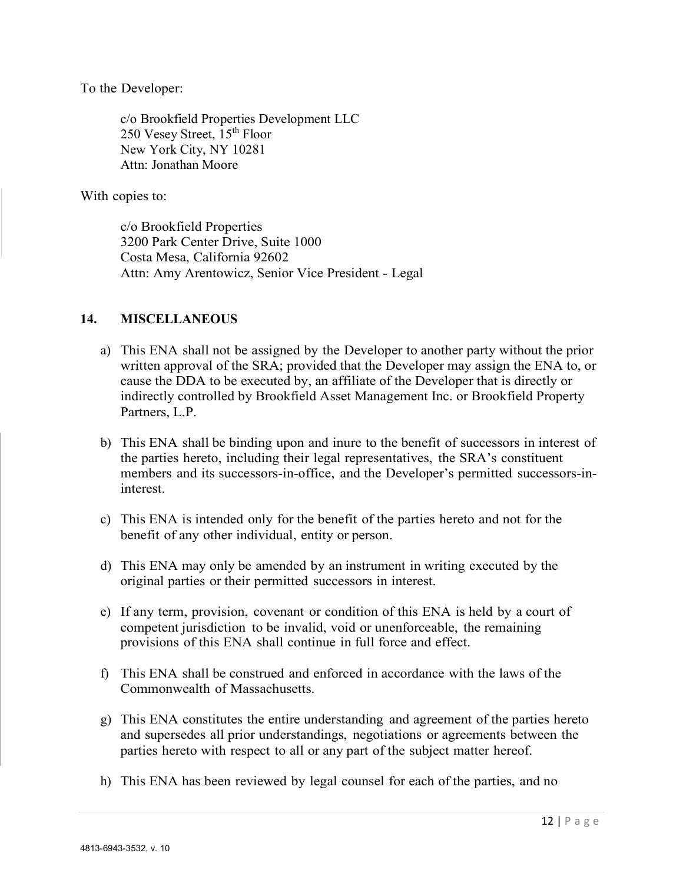To the Developer:

c/o Brookfield Properties Development LLC 250 Vesey Street, 15<sup>th</sup> Floor New York City, NY 10281 Attn: Jonathan Moore

With copies to:

c/o Brookfield Properties 3200 Park Center Drive, Suite 1000 Costa Mesa, California 92602 Attn: Amy Arentowicz, Senior Vice President - Legal

#### <span id="page-11-0"></span>**14. MISCELLANEOUS**

- a) This ENA shall not be assigned by the Developer to another party without the prior written approval of the SRA; provided that the Developer may assign the ENA to, or cause the DDA to be executed by, an affiliate of the Developer that is directly or indirectly controlled by Brookfield Asset Management Inc. or Brookfield Property Partners, L.P.
- b) This ENA shall be binding upon and inure to the benefit of successors in interest of the parties hereto, including their legal representatives, the SRA's constituent members and its successors-in-office, and the Developer's permitted successors-ininterest.
- c) This ENA is intended only for the benefit of the parties hereto and not for the benefit of any other individual, entity or person.
- d) This ENA may only be amended by an instrument in writing executed by the original parties or their permitted successors in interest.
- e) If any term, provision, covenant or condition of this ENA is held by a court of competent jurisdiction to be invalid, void or unenforceable, the remaining provisions of this ENA shall continue in full force and effect.
- f) This ENA shall be construed and enforced in accordance with the laws of the Commonwealth of Massachusetts.
- g) This ENA constitutes the entire understanding and agreement of the parties hereto and supersedes all prior understandings, negotiations or agreements between the parties hereto with respect to all or any part of the subject matter hereof.
- h) This ENA has been reviewed by legal counsel for each of the parties, and no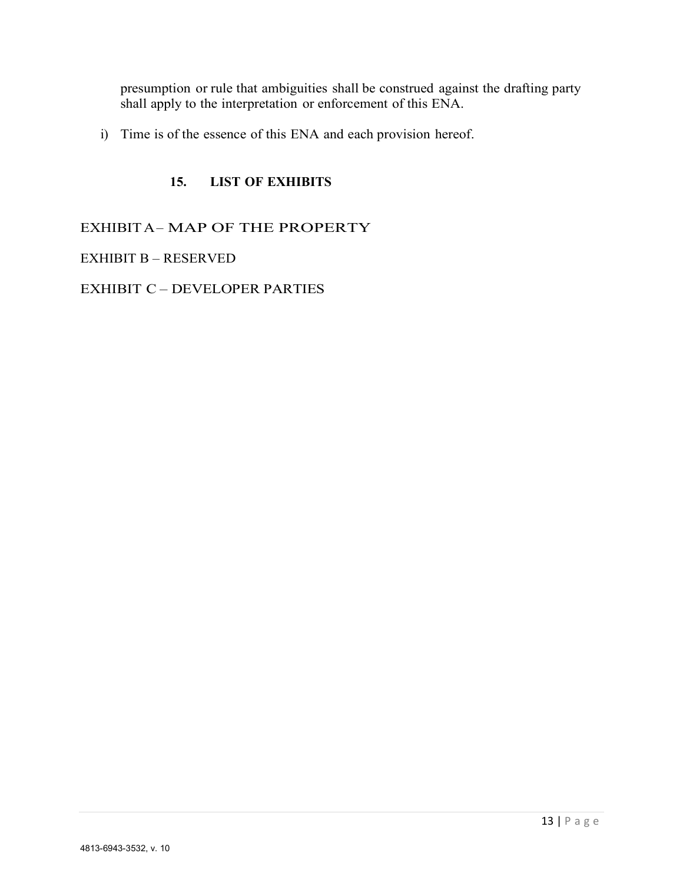presumption or rule that ambiguities shall be construed against the drafting party shall apply to the interpretation or enforcement of this ENA.

i) Time is of the essence of this ENA and each provision hereof.

#### **15. LIST OF EXHIBITS**

<span id="page-12-0"></span>EXHIBIT A- MAP OF THE PROPERTY

EXHIBIT B - RESERVED

EXHIBIT C - DEVELOPER PARTIES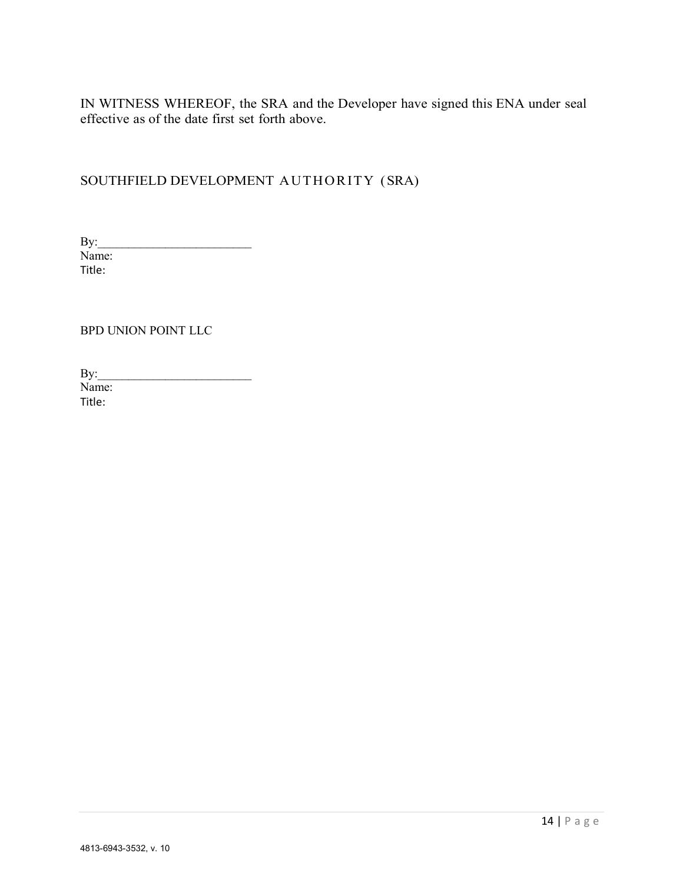IN WITNESS WHEREOF, the SRA and the Developer have signed this ENA under seal effective as of the date first set forth above.

# SOUTHFIELD DEVELOPMENT AUTHORITY (SRA)

By:\_\_\_\_\_\_\_\_\_\_\_\_\_\_\_\_\_\_\_\_\_\_\_\_\_ Name: Title:

BPD UNION POINT LLC

| By:    |  |  |
|--------|--|--|
| Name:  |  |  |
| Title: |  |  |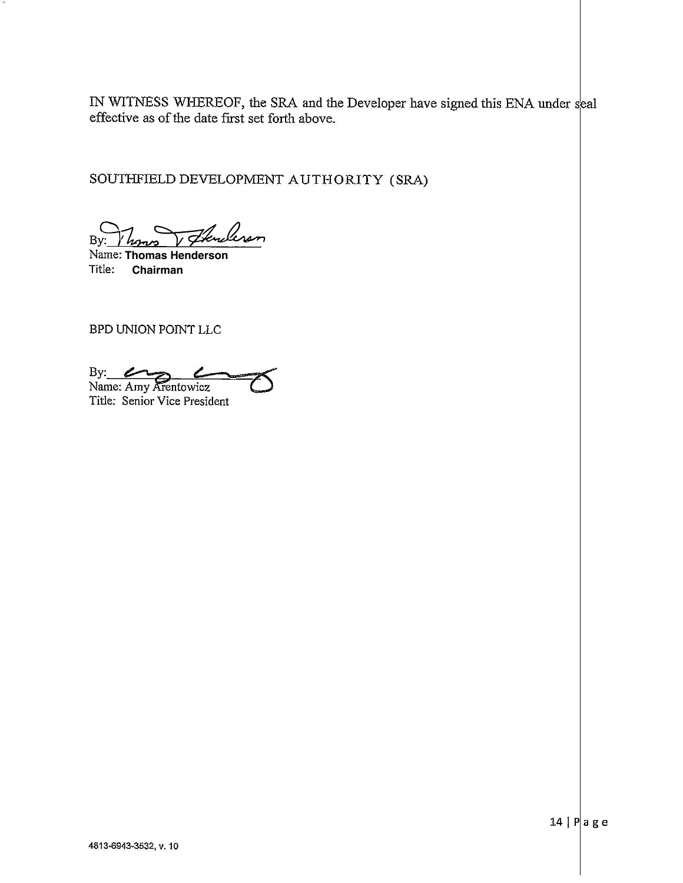IN WITNESS WHEREOF, the SRA and the Developer have signed this ENA under seal effective as of the date first set forth above.

SOUTHFIELD DEVELOPMENT AUTHORITY (SRA)

Herderson By:

Name: Thomas Henderson Title: Chairman

BPD UNION POINT LLC

By: <u>Compare:</u> Amy Arentowicz

Title: Senior Vice President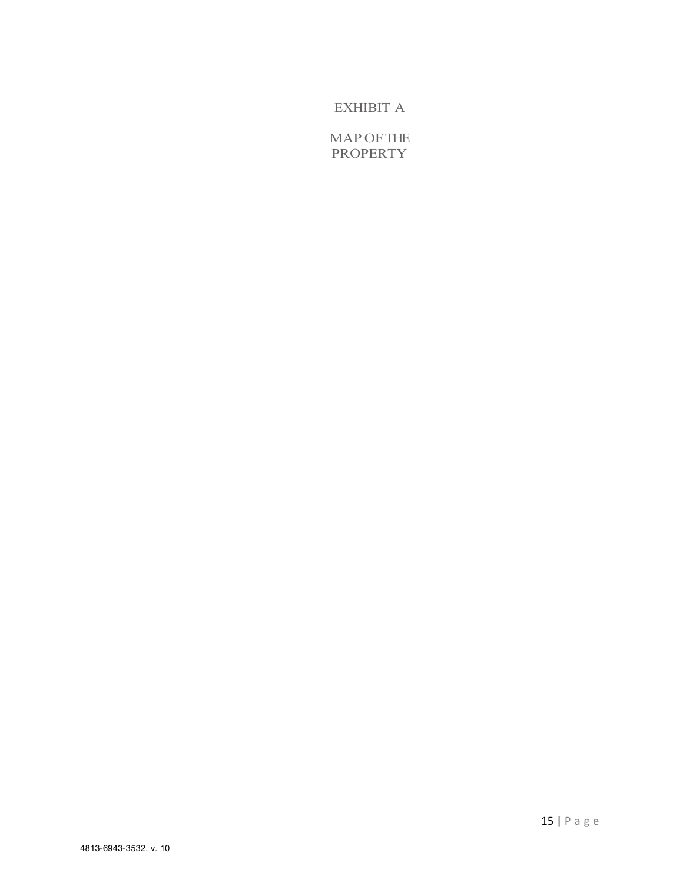# EXHIBIT A

MAP OFTHE PROPERTY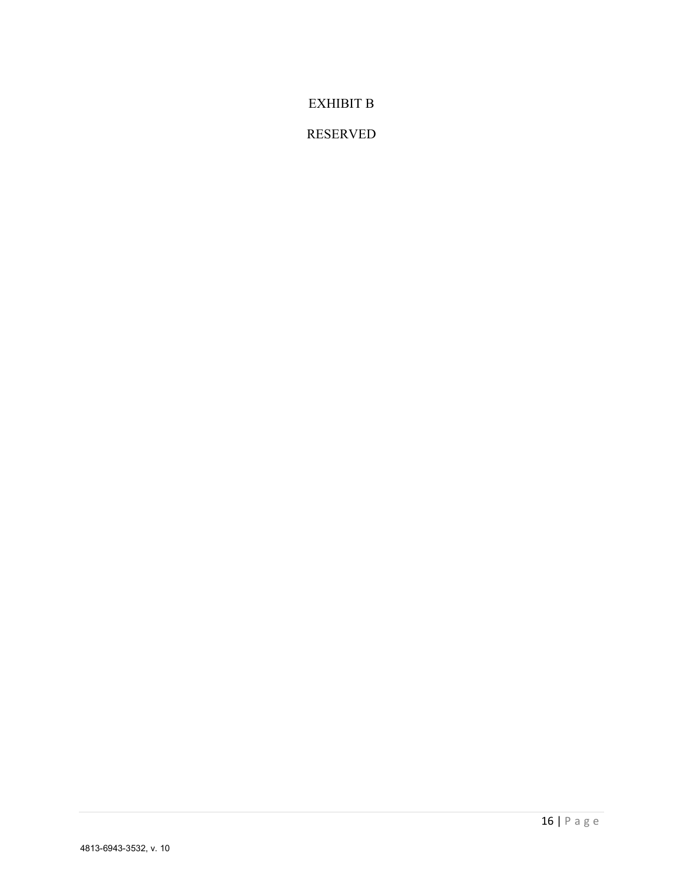## EXHIBIT B

## RESERVED